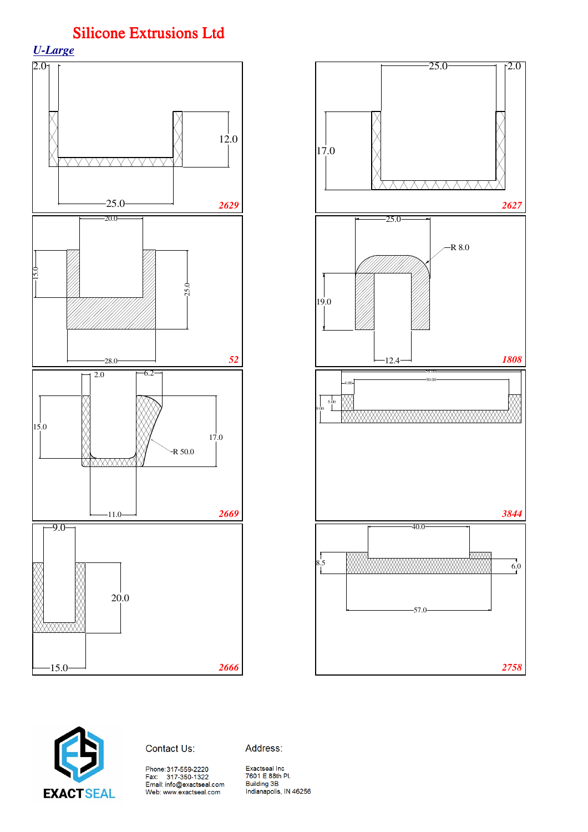









Address: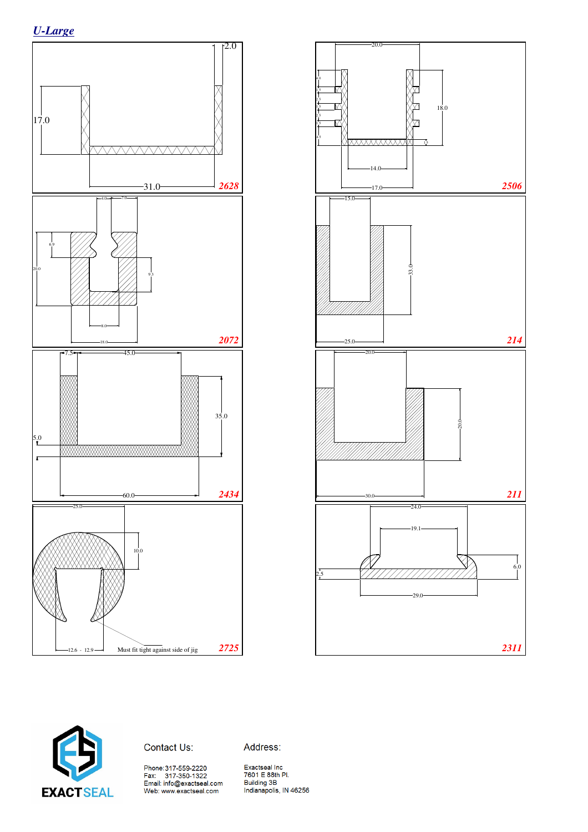







Address: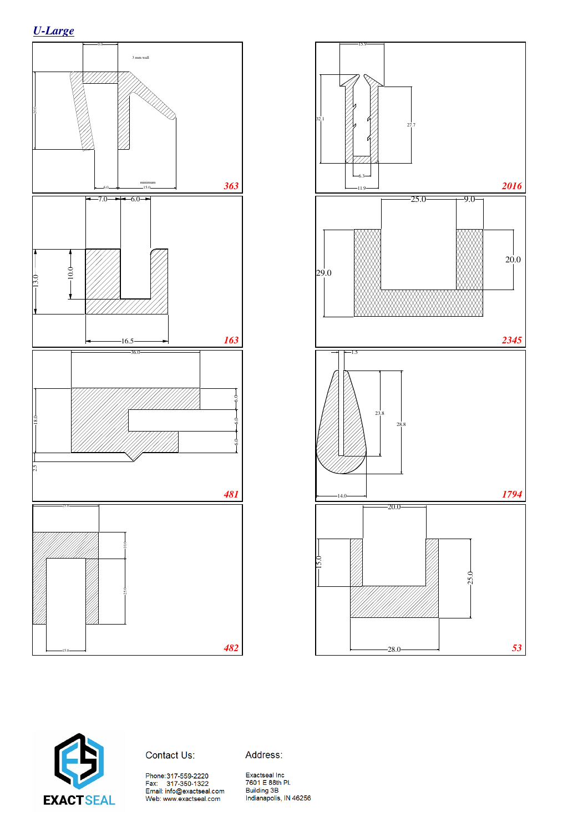





Contact Us:

Address:

Phone:317-559-2220<br>Fax: 317-350-1322<br>Email: info@exactseal.com<br>Web: www.exactseal.com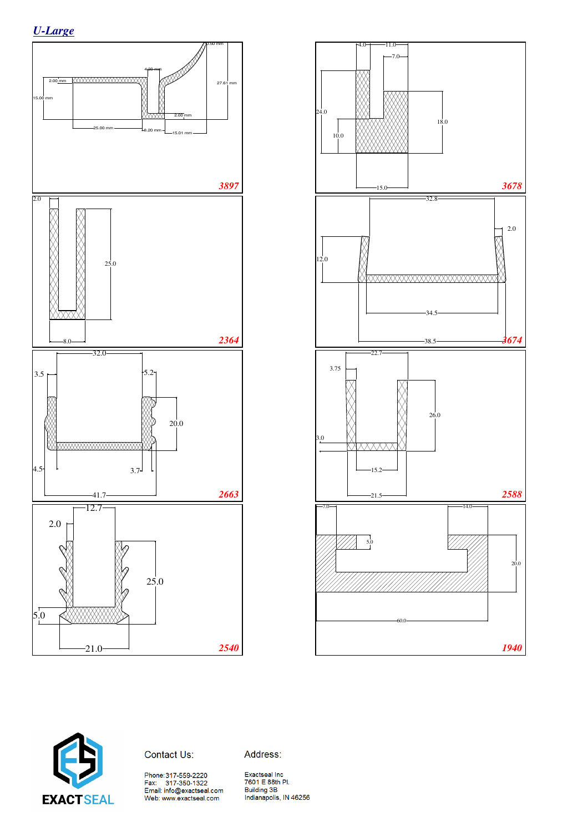





Contact Us:

Address:

Phone:317-559-2220<br>Fax: 317-350-1322<br>Email: info@exactseal.com<br>Web: www.exactseal.com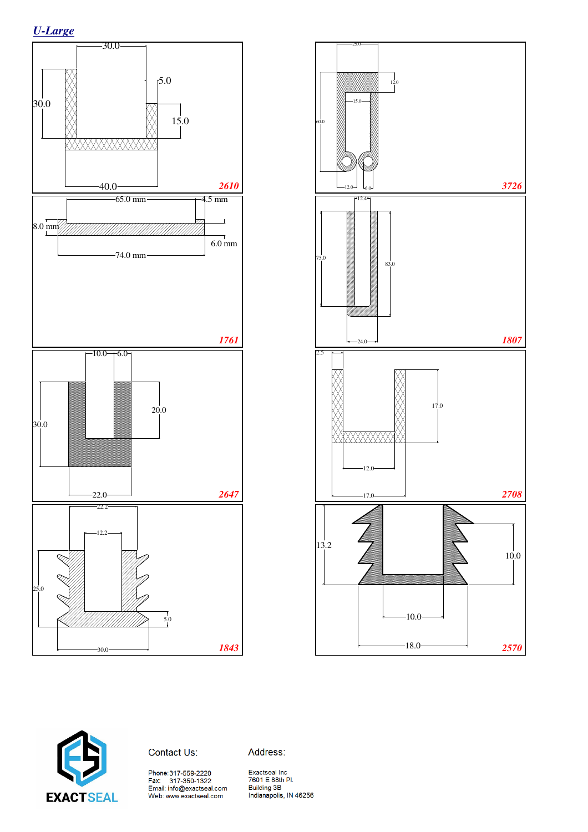





Contact Us:

Address:

Phone:317-559-2220<br>Fax: 317-350-1322<br>Email: info@exactseal.com<br>Web: www.exactseal.com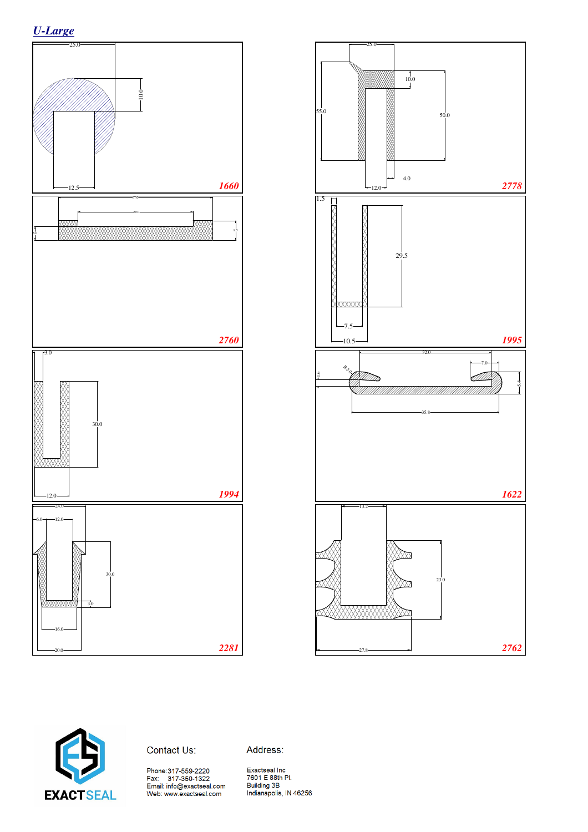





Contact Us:

Address: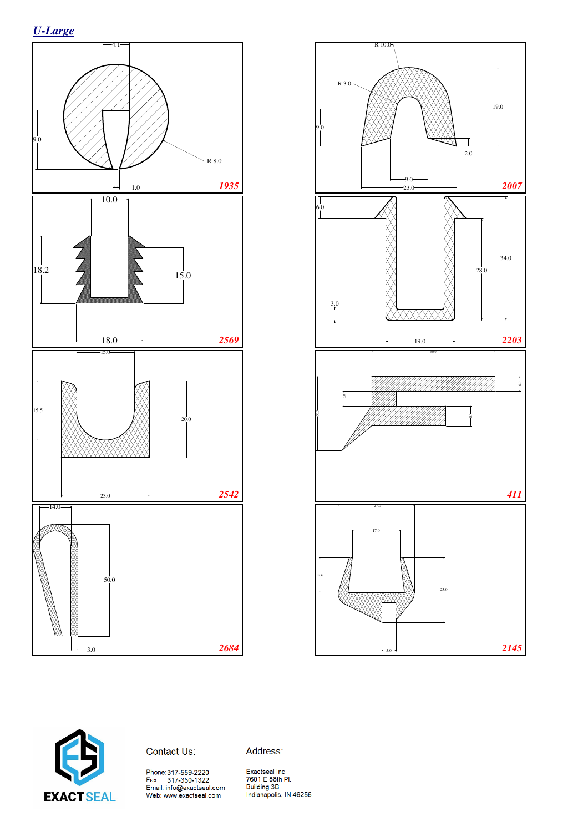





#### Contact Us:

Address: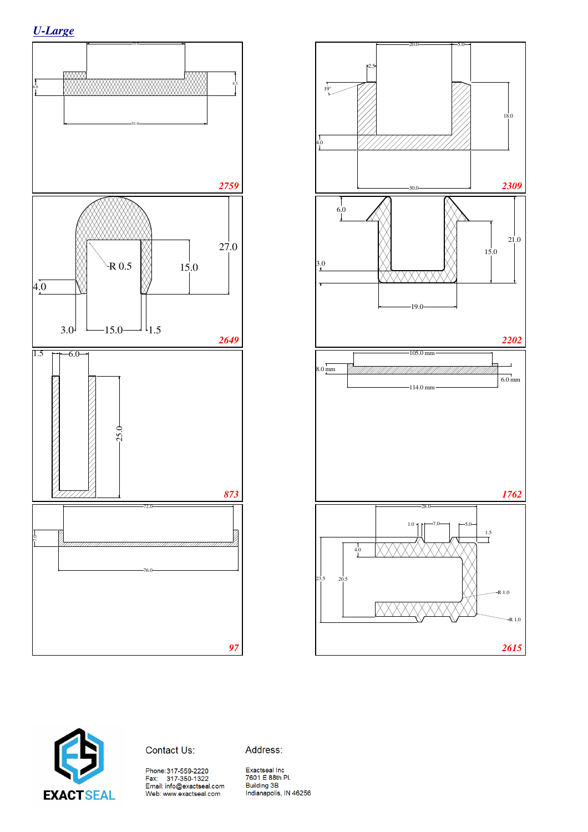





Contact Us:

Address: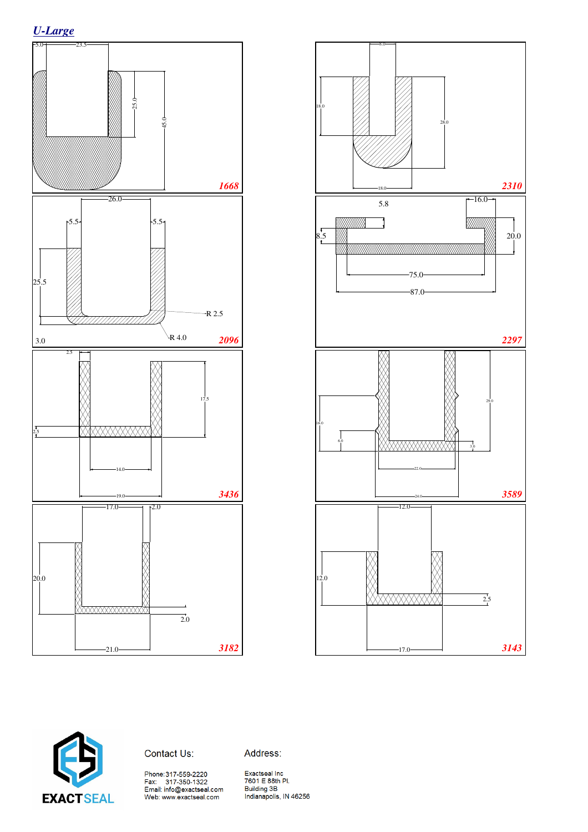





Contact Us:

Address:

Phone:317-559-2220<br>Fax: 317-350-1322<br>Email: info@exactseal.com<br>Web: www.exactseal.com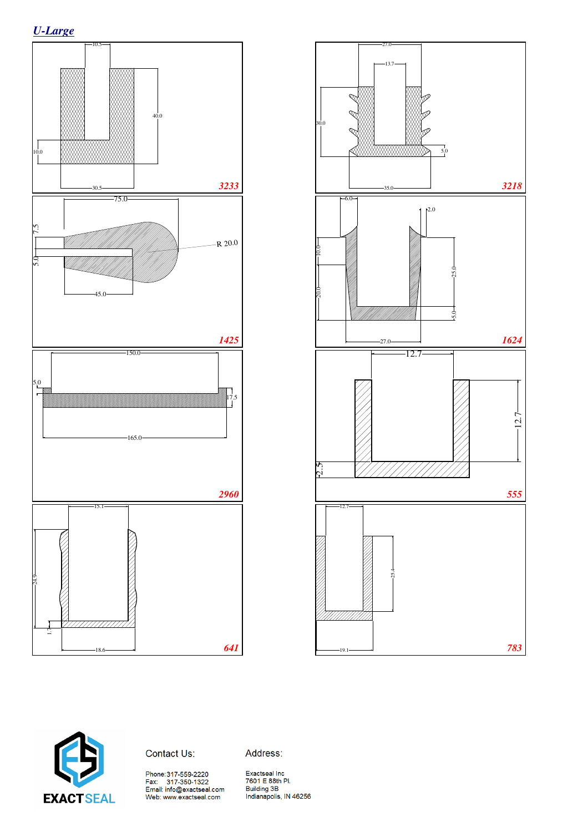*U-Large*







Address:

Phone:317-559-2220<br>Fax: 317-350-1322<br>Email: info@exactseal.com<br>Web: www.exactseal.com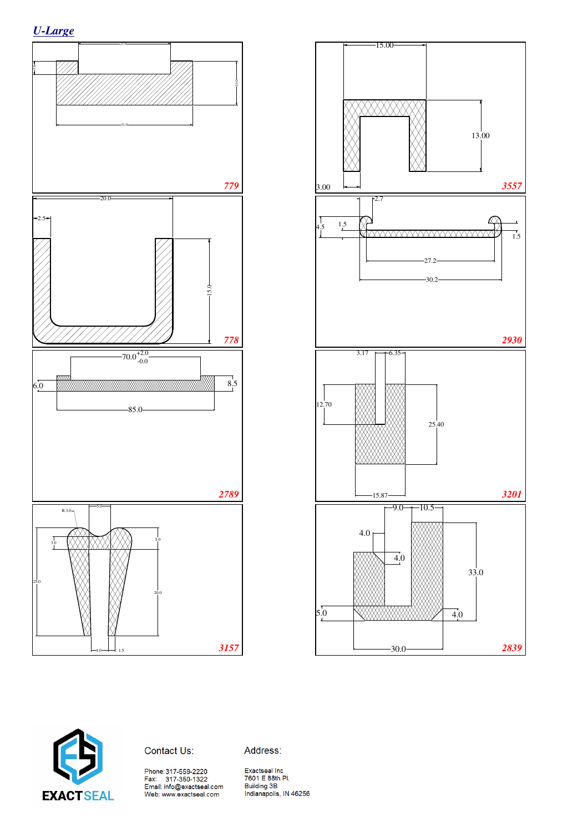





Contact Us:

Address: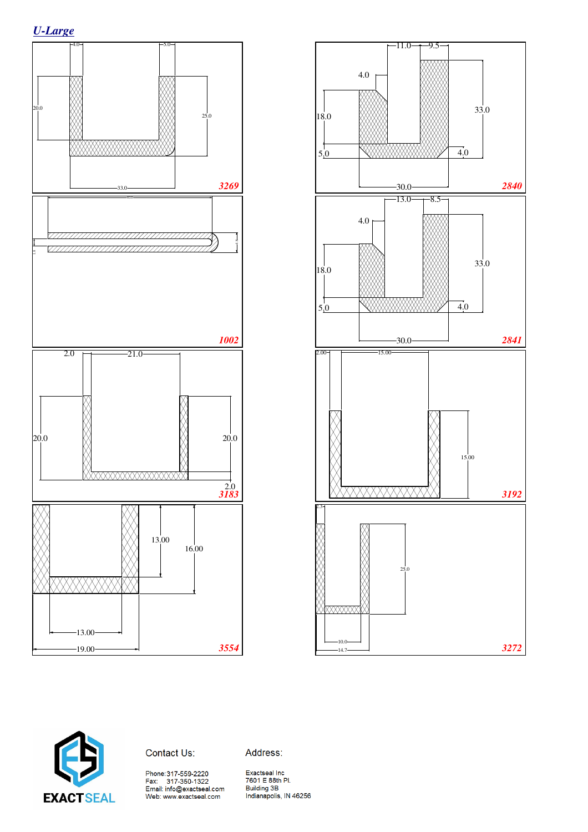







Address:

Phone:317-559-2220<br>Fax: 317-350-1322<br>Email: info@exactseal.com<br>Web: www.exactseal.com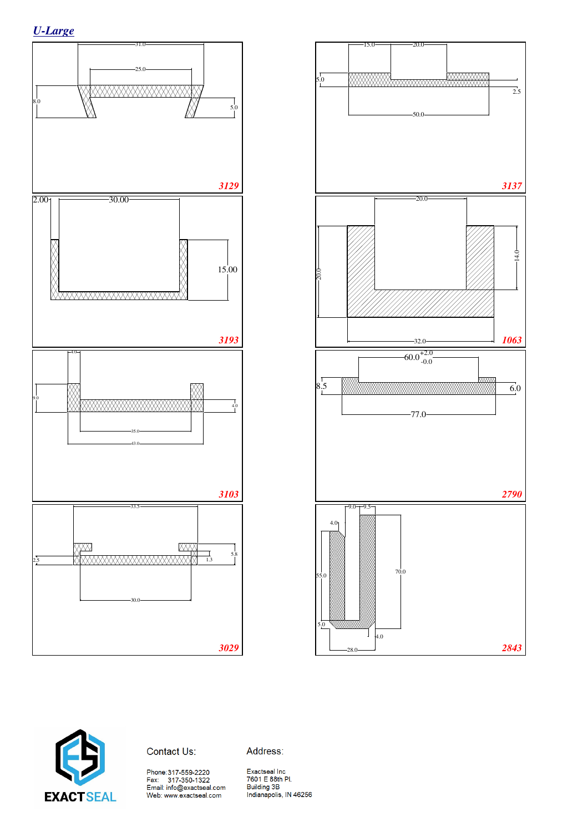





#### Contact Us:

Address: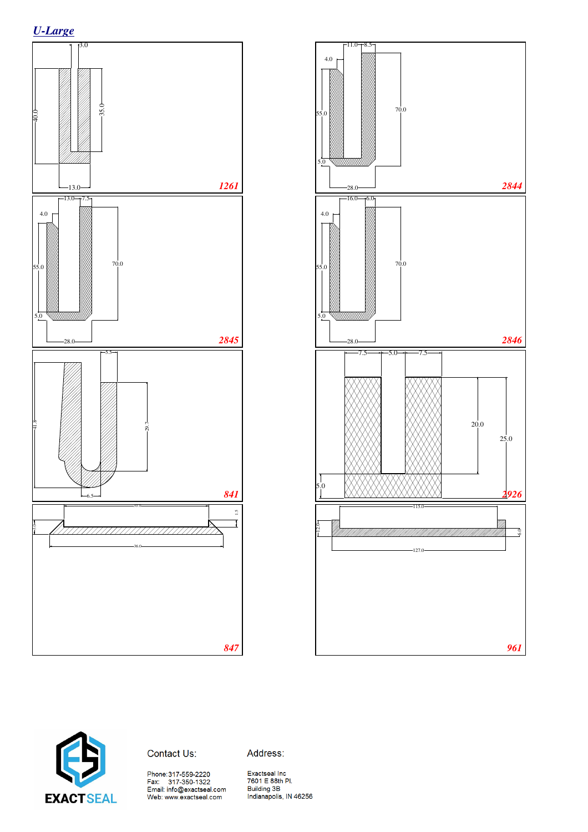







Address:

Phone:317-559-2220<br>Fax: 317-350-1322<br>Email: info@exactseal.com<br>Web: www.exactseal.com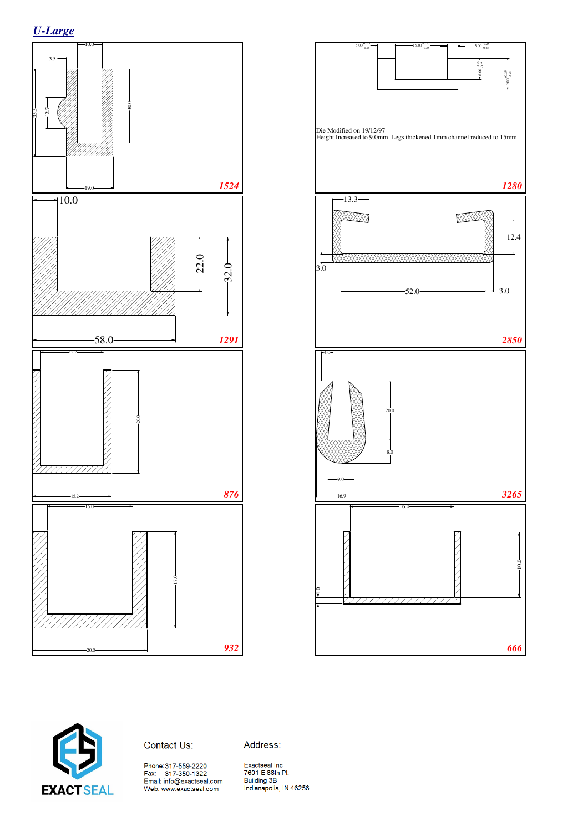





#### Contact Us:

Address: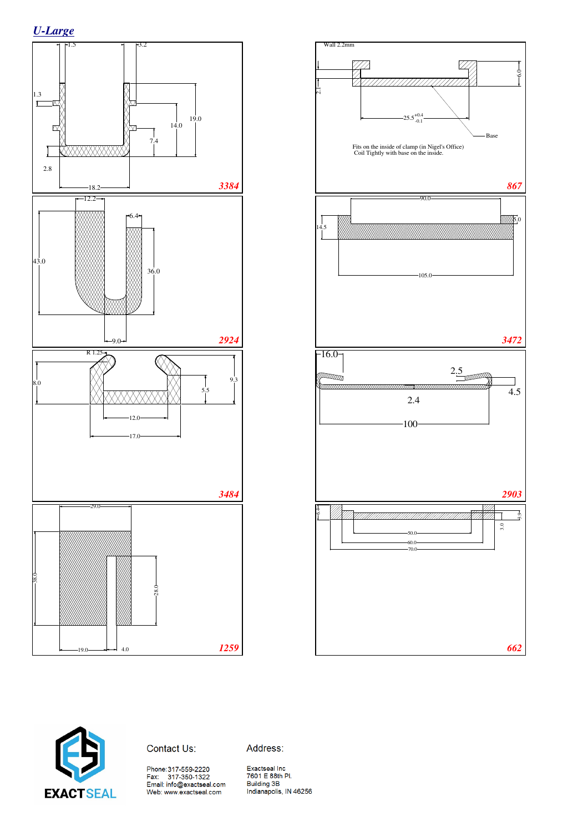





Contact Us:

Address: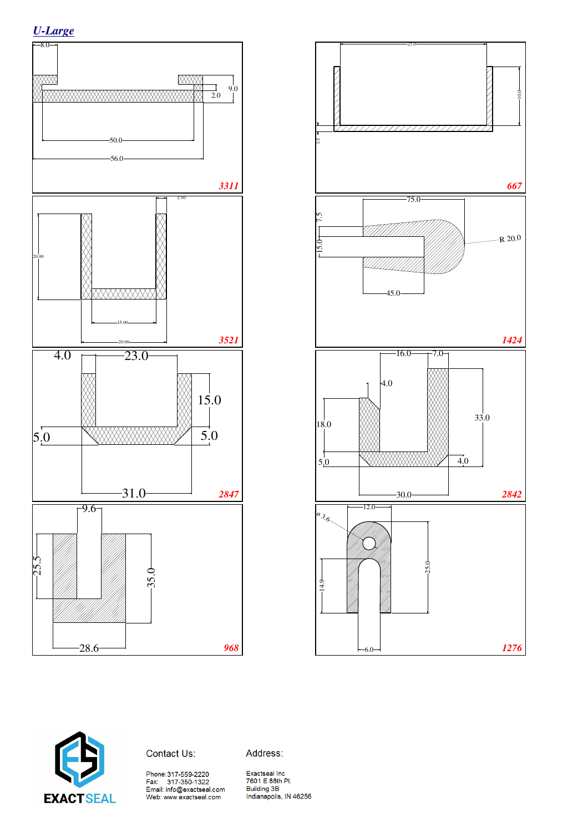





Contact Us:

Address:

Phone:317-559-2220<br>Fax: 317-350-1322<br>Email: info@exactseal.com<br>Web: www.exactseal.com